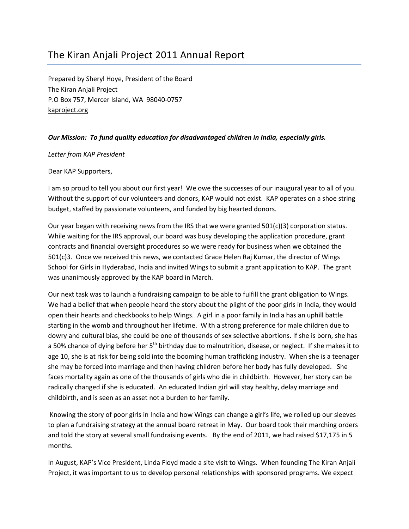# The Kiran Anjali Project 2011 Annual Report

Prepared by Sheryl Hoye, President of the Board The Kiran Anjali Project P.O Box 757, Mercer Island, WA 98040-0757 kaproject.org

### Our Mission: To fund quality education for disadvantaged children in India, especially girls.

#### Letter from KAP President

#### Dear KAP Supporters,

I am so proud to tell you about our first year! We owe the successes of our inaugural year to all of you. Without the support of our volunteers and donors, KAP would not exist. KAP operates on a shoe string budget, staffed by passionate volunteers, and funded by big hearted donors.

Our year began with receiving news from the IRS that we were granted 501(c)(3) corporation status. While waiting for the IRS approval, our board was busy developing the application procedure, grant contracts and financial oversight procedures so we were ready for business when we obtained the 501(c)3. Once we received this news, we contacted Grace Helen Raj Kumar, the director of Wings School for Girls in Hyderabad, India and invited Wings to submit a grant application to KAP. The grant was unanimously approved by the KAP board in March.

Our next task was to launch a fundraising campaign to be able to fulfill the grant obligation to Wings. We had a belief that when people heard the story about the plight of the poor girls in India, they would open their hearts and checkbooks to help Wings. A girl in a poor family in India has an uphill battle starting in the womb and throughout her lifetime. With a strong preference for male children due to dowry and cultural bias, she could be one of thousands of sex selective abortions. If she is born, she has a 50% chance of dying before her 5<sup>th</sup> birthday due to malnutrition, disease, or neglect. If she makes it to age 10, she is at risk for being sold into the booming human trafficking industry. When she is a teenager she may be forced into marriage and then having children before her body has fully developed. She faces mortality again as one of the thousands of girls who die in childbirth. However, her story can be radically changed if she is educated. An educated Indian girl will stay healthy, delay marriage and childbirth, and is seen as an asset not a burden to her family.

 Knowing the story of poor girls in India and how Wings can change a girl's life, we rolled up our sleeves to plan a fundraising strategy at the annual board retreat in May. Our board took their marching orders and told the story at several small fundraising events. By the end of 2011, we had raised \$17,175 in 5 months.

In August, KAP's Vice President, Linda Floyd made a site visit to Wings. When founding The Kiran Anjali Project, it was important to us to develop personal relationships with sponsored programs. We expect